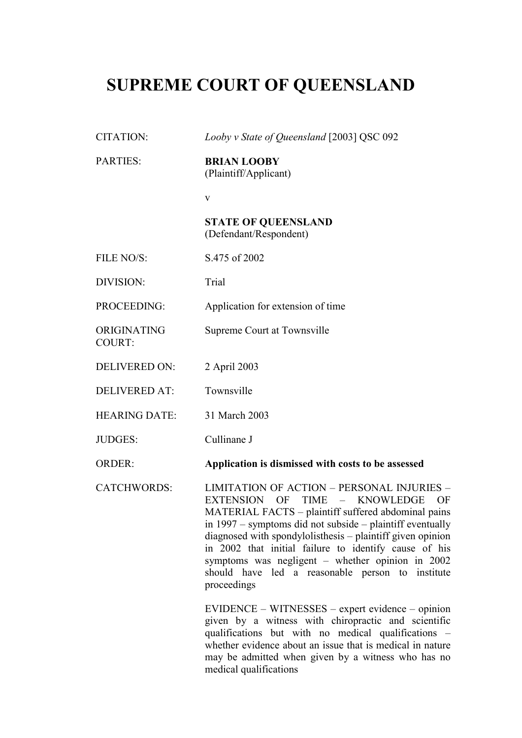## **SUPREME COURT OF QUEENSLAND**

CITATION: *Looby v State of Queensland* [2003] QSC 092

PARTIES: **BRIAN LOOBY**

|                              | (Plaintiff/Applicant)                                                                                                                                                                                                                                                                                                                                                                                                                                                                |
|------------------------------|--------------------------------------------------------------------------------------------------------------------------------------------------------------------------------------------------------------------------------------------------------------------------------------------------------------------------------------------------------------------------------------------------------------------------------------------------------------------------------------|
|                              | V                                                                                                                                                                                                                                                                                                                                                                                                                                                                                    |
|                              | <b>STATE OF QUEENSLAND</b><br>(Defendant/Respondent)                                                                                                                                                                                                                                                                                                                                                                                                                                 |
| FILE NO/S:                   | S.475 of 2002                                                                                                                                                                                                                                                                                                                                                                                                                                                                        |
| DIVISION:                    | Trial                                                                                                                                                                                                                                                                                                                                                                                                                                                                                |
| PROCEEDING:                  | Application for extension of time                                                                                                                                                                                                                                                                                                                                                                                                                                                    |
| ORIGINATING<br><b>COURT:</b> | Supreme Court at Townsville                                                                                                                                                                                                                                                                                                                                                                                                                                                          |
| <b>DELIVERED ON:</b>         | 2 April 2003                                                                                                                                                                                                                                                                                                                                                                                                                                                                         |
| <b>DELIVERED AT:</b>         | Townsville                                                                                                                                                                                                                                                                                                                                                                                                                                                                           |
| <b>HEARING DATE:</b>         | 31 March 2003                                                                                                                                                                                                                                                                                                                                                                                                                                                                        |
| <b>JUDGES:</b>               | Cullinane J                                                                                                                                                                                                                                                                                                                                                                                                                                                                          |
| <b>ORDER:</b>                | Application is dismissed with costs to be assessed                                                                                                                                                                                                                                                                                                                                                                                                                                   |
| <b>CATCHWORDS:</b>           | <b>LIMITATION OF ACTION - PERSONAL INJURIES -</b><br>EXTENSION OF TIME<br><b>KNOWLEDGE</b><br>$\sim$ $ \sim$<br>OF<br>MATERIAL FACTS - plaintiff suffered abdominal pains<br>in 1997 – symptoms did not subside – plaintiff eventually<br>diagnosed with spondylolisthesis - plaintiff given opinion<br>in 2002 that initial failure to identify cause of his<br>symptoms was negligent - whether opinion in 2002<br>should have led a reasonable person to institute<br>proceedings |
|                              | EVIDENCE – WITNESSES – expert evidence – opinion<br>given by a witness with chiropractic and scientific                                                                                                                                                                                                                                                                                                                                                                              |

given by a witness with chiropractic and scientific qualifications but with no medical qualifications – whether evidence about an issue that is medical in nature may be admitted when given by a witness who has no medical qualifications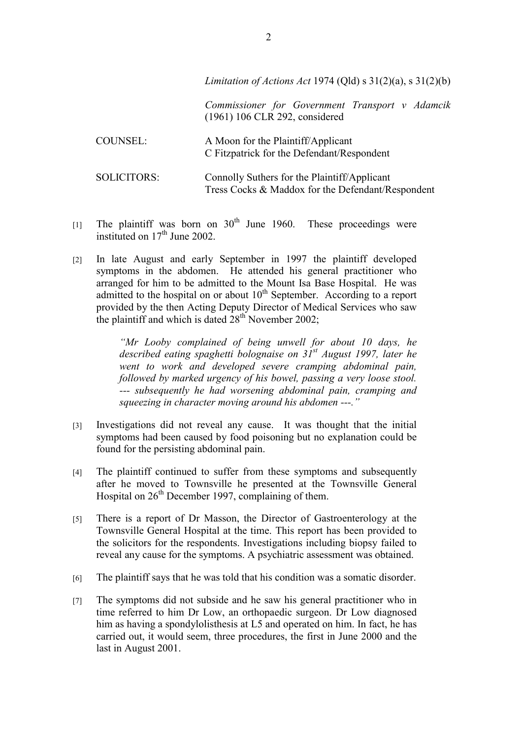|                    | Limitation of Actions Act 1974 (Qld) $s$ 31(2)(a), $s$ 31(2)(b)                                   |
|--------------------|---------------------------------------------------------------------------------------------------|
|                    | Commissioner for Government Transport v Adamcik<br>(1961) 106 CLR 292, considered                 |
| <b>COUNSEL:</b>    | A Moon for the Plaintiff/Applicant<br>C Fitzpatrick for the Defendant/Respondent                  |
| <b>SOLICITORS:</b> | Connolly Suthers for the Plaintiff/Applicant<br>Tress Cocks & Maddox for the Defendant/Respondent |

- [1] The plaintiff was born on  $30<sup>th</sup>$  June 1960. These proceedings were instituted on  $17<sup>th</sup>$  June 2002.
- [2] In late August and early September in 1997 the plaintiff developed symptoms in the abdomen. He attended his general practitioner who arranged for him to be admitted to the Mount Isa Base Hospital. He was admitted to the hospital on or about  $10<sup>th</sup>$  September. According to a report provided by the then Acting Deputy Director of Medical Services who saw the plaintiff and which is dated  $28<sup>th</sup>$  November 2002;

*"Mr Looby complained of being unwell for about 10 days, he described eating spaghetti bolognaise on 31st August 1997, later he went to work and developed severe cramping abdominal pain, followed by marked urgency of his bowel, passing a very loose stool. --- subsequently he had worsening abdominal pain, cramping and squeezing in character moving around his abdomen ---."*

- [3] Investigations did not reveal any cause. It was thought that the initial symptoms had been caused by food poisoning but no explanation could be found for the persisting abdominal pain.
- [4] The plaintiff continued to suffer from these symptoms and subsequently after he moved to Townsville he presented at the Townsville General Hospital on  $26<sup>th</sup>$  December 1997, complaining of them.
- [5] There is a report of Dr Masson, the Director of Gastroenterology at the Townsville General Hospital at the time. This report has been provided to the solicitors for the respondents. Investigations including biopsy failed to reveal any cause for the symptoms. A psychiatric assessment was obtained.
- [6] The plaintiff says that he was told that his condition was a somatic disorder.
- [7] The symptoms did not subside and he saw his general practitioner who in time referred to him Dr Low, an orthopaedic surgeon. Dr Low diagnosed him as having a spondylolisthesis at L5 and operated on him. In fact, he has carried out, it would seem, three procedures, the first in June 2000 and the last in August 2001.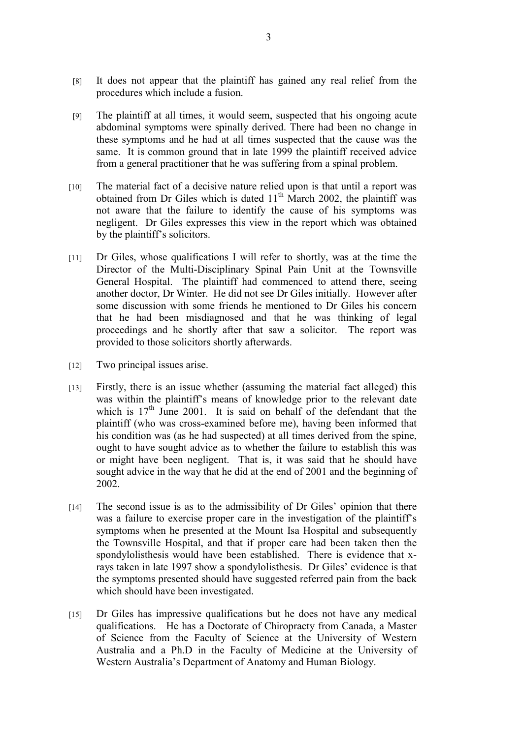- [8] It does not appear that the plaintiff has gained any real relief from the procedures which include a fusion.
- [9] The plaintiff at all times, it would seem, suspected that his ongoing acute abdominal symptoms were spinally derived. There had been no change in these symptoms and he had at all times suspected that the cause was the same. It is common ground that in late 1999 the plaintiff received advice from a general practitioner that he was suffering from a spinal problem.
- [10] The material fact of a decisive nature relied upon is that until a report was obtained from Dr Giles which is dated  $11<sup>th</sup>$  March 2002, the plaintiff was not aware that the failure to identify the cause of his symptoms was negligent. Dr Giles expresses this view in the report which was obtained by the plaintiff's solicitors.
- [11] Dr Giles, whose qualifications I will refer to shortly, was at the time the Director of the Multi-Disciplinary Spinal Pain Unit at the Townsville General Hospital. The plaintiff had commenced to attend there, seeing another doctor, Dr Winter. He did not see Dr Giles initially. However after some discussion with some friends he mentioned to Dr Giles his concern that he had been misdiagnosed and that he was thinking of legal proceedings and he shortly after that saw a solicitor. The report was provided to those solicitors shortly afterwards.
- [12] Two principal issues arise.
- [13] Firstly, there is an issue whether (assuming the material fact alleged) this was within the plaintiff's means of knowledge prior to the relevant date which is 17<sup>th</sup> June 2001. It is said on behalf of the defendant that the plaintiff (who was cross-examined before me), having been informed that his condition was (as he had suspected) at all times derived from the spine, ought to have sought advice as to whether the failure to establish this was or might have been negligent. That is, it was said that he should have sought advice in the way that he did at the end of 2001 and the beginning of 2002.
- [14] The second issue is as to the admissibility of Dr Giles' opinion that there was a failure to exercise proper care in the investigation of the plaintiff's symptoms when he presented at the Mount Isa Hospital and subsequently the Townsville Hospital, and that if proper care had been taken then the spondylolisthesis would have been established. There is evidence that xrays taken in late 1997 show a spondylolisthesis. Dr Giles' evidence is that the symptoms presented should have suggested referred pain from the back which should have been investigated.
- [15] Dr Giles has impressive qualifications but he does not have any medical qualifications. He has a Doctorate of Chiropracty from Canada, a Master of Science from the Faculty of Science at the University of Western Australia and a Ph.D in the Faculty of Medicine at the University of Western Australia's Department of Anatomy and Human Biology.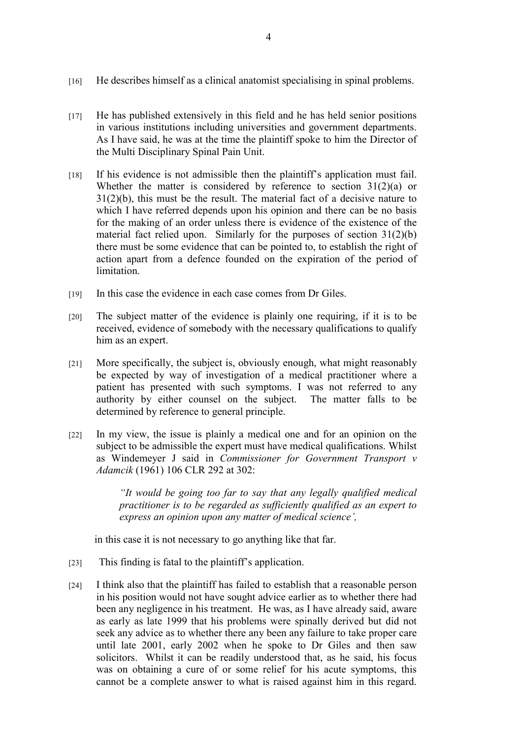- [16] He describes himself as a clinical anatomist specialising in spinal problems.
- [17] He has published extensively in this field and he has held senior positions in various institutions including universities and government departments. As I have said, he was at the time the plaintiff spoke to him the Director of the Multi Disciplinary Spinal Pain Unit.
- [18] If his evidence is not admissible then the plaintiff's application must fail. Whether the matter is considered by reference to section  $31(2)(a)$  or 31(2)(b), this must be the result. The material fact of a decisive nature to which I have referred depends upon his opinion and there can be no basis for the making of an order unless there is evidence of the existence of the material fact relied upon. Similarly for the purposes of section 31(2)(b) there must be some evidence that can be pointed to, to establish the right of action apart from a defence founded on the expiration of the period of limitation.
- [19] In this case the evidence in each case comes from Dr Giles.
- [20] The subject matter of the evidence is plainly one requiring, if it is to be received, evidence of somebody with the necessary qualifications to qualify him as an expert.
- [21] More specifically, the subject is, obviously enough, what might reasonably be expected by way of investigation of a medical practitioner where a patient has presented with such symptoms. I was not referred to any authority by either counsel on the subject. The matter falls to be determined by reference to general principle.
- [22] In my view, the issue is plainly a medical one and for an opinion on the subject to be admissible the expert must have medical qualifications. Whilst as Windemeyer J said in *Commissioner for Government Transport v Adamcik* (1961) 106 CLR 292 at 302:

*"It would be going too far to say that any legally qualified medical practitioner is to be regarded as sufficiently qualified as an expert to express an opinion upon any matter of medical science',*

in this case it is not necessary to go anything like that far.

- [23] This finding is fatal to the plaintiff's application.
- [24] I think also that the plaintiff has failed to establish that a reasonable person in his position would not have sought advice earlier as to whether there had been any negligence in his treatment. He was, as I have already said, aware as early as late 1999 that his problems were spinally derived but did not seek any advice as to whether there any been any failure to take proper care until late 2001, early 2002 when he spoke to Dr Giles and then saw solicitors. Whilst it can be readily understood that, as he said, his focus was on obtaining a cure of or some relief for his acute symptoms, this cannot be a complete answer to what is raised against him in this regard.